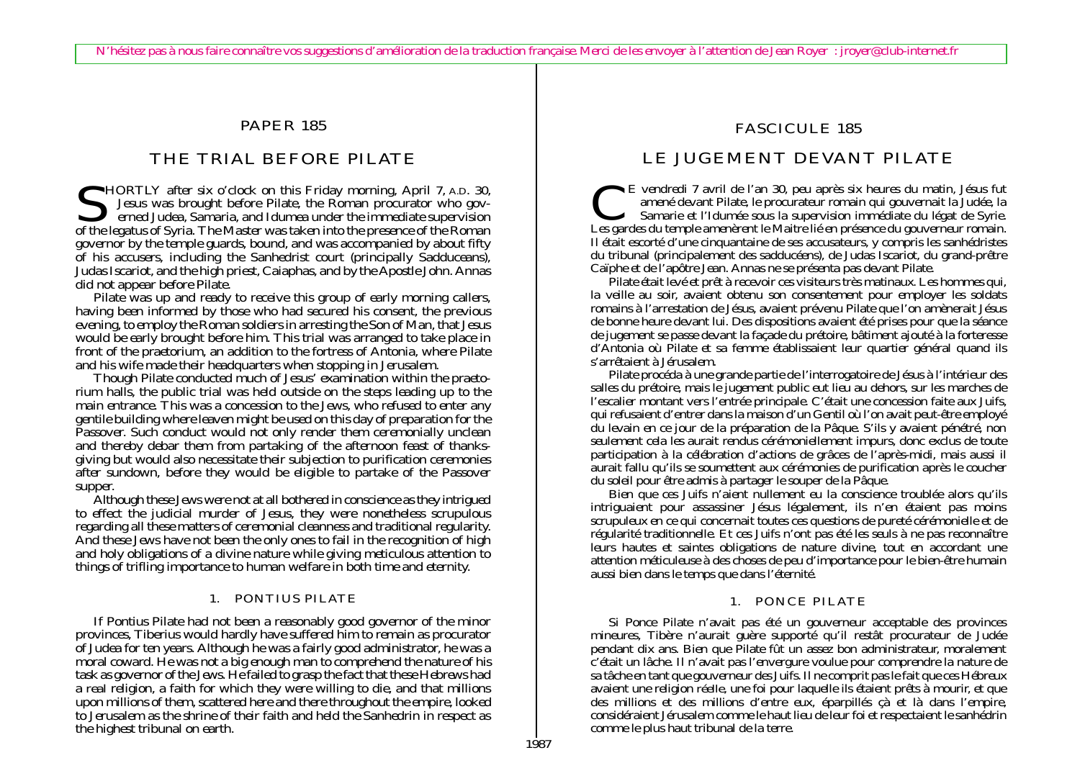## PAPER 185

# THE TRIAL BEFORE PILATE

SHORTLY after six o'clock on this Friday morning, April 7, A.D. 30, Jesus was brought before Pilate, the Roman procurator who governed Judea, Samaria, and Idumea under the immediate supervision Jesus was brought before Pilate, the Roman procurator who governed Judea, Samaria, and Idumea under the immediate supervision of the legatus of Syria. The Master was taken into the presence of the Roman of his accusers, including the Sanhedrist court (principally Sadduceans), Judas Iscariot, and the high priest, Caiaphas, and by the Apostle John. Annas did not appear before Pilate.

Pilate was up and ready to receive this group of early morning callers, having been informed by those who had secured his consent, the previous evening, to employ the Roman soldiers in arresting the Son of Man, that Jesus would be early brought before him. This trial was arranged to take place in front of the praetorium, an addition to the fortress of Antonia, where Pilate and his wife made their headquarters when stopping in Jerusalem.

Though Pilate conducted much of Jesus' examination within the praetorium halls, the public trial was held outside on the steps leading up to the main entrance. This was a concession to the Jews, who refused to enter any gentile building where leaven might be used on this day of preparation for the Passover. Such conduct would not only render them ceremonially unclean and thereby debar them from partaking of the afternoon feast of thanksgiving but would also necessitate their subjection to purification ceremonies after sundown, before they would be eligible to partake of the Passover supper.

Although these Jews were not at all bothered in conscience as they intrigued to effect the judicial murder of Jesus, they were nonetheless scrupulous regarding all these matters of ceremonial cleanness and traditional regularity. And these Jews have not been the only ones to fail in the recognition of high and holy obligations of a divine nature while giving meticulous attention to things of trifling importance to human welfare in both time and eternity.

## 1. PONTIUS PILATE

If Pontius Pilate had not been a reasonably good governor of the minor provinces, Tiberius would hardly have suffered him to remain as procurator of Judea for ten years. Although he was a fairly good administrator, he was a moral coward. He was not a big enough man to comprehend the nature of his task as governor of the Jews. He failed to grasp the fact that these Hebrews had <sup>a</sup>*real* religion, a faith for which they were willing to die, and that millions upon millions of them, scattered here and there throughout the empire, looked to Jerusalem as the shrine of their faith and held the Sanhedrin in respect as the highest tribunal on earth.

## FASCICULE 185

# LE JUGEMENT DEVANT PILATE

E vendredi 7 avril de l'an 30, peu après six heures du matin, Jésus fut<br>amené devant Pilate, le procurateur romain qui gouvernait la Judée, la<br>Samarie et l'Idumée sous la supervision immédiate du légat de Syrie. amené devant Pilate, le procurateur romain qui gouvernait la Judée, la Samarie et l'Idumée sous la supervision immédiate du légat de Syrie. Les gardes du temple amenèrent le Maitre lié en présence du gouverneur romain. Il était escorté d'une cinquantaine de ses accusateurs, y compris les sanhédristes du tribunal (principalement des sadducéens), de Judas Iscariot, du grand-prêtre Caïphe et de l'apôtre Jean. Annas ne se présenta pas devant Pilate.

Pilate était levé et prêt à recevoir ces visiteurs très matinaux. Les hommes qui, la veille au soir, avaient obtenu son consentement pour employer les soldats romains à l'arrestation de Jésus, avaient prévenu Pilate que l'on amènerait Jésus de bonne heure devant lui. Des dispositions avaient été prises pour que la séance de jugement se passe devant la façade du prétoire, bâtiment ajouté à la forteresse d'Antonia où Pilate et sa femme établissaient leur quartier général quand ils <sup>s</sup>'arrêtaient à Jérusalem.

Pilate procéda à une grande partie de l'interrogatoire de Jésus à l'intérieur des salles du prétoire, mais le jugement public eut lieu au dehors, sur les marches de l'escalier montant vers l'entrée principale. C'était une concession faite aux Juifs, qui refusaient d'entrer dans la maison d'un Gentil où l'on avait peut-être employé du levain en ce jour de la préparation de la Pâque. S'ils y avaient pénétré, non seulement cela les aurait rendus cérémoniellement impurs, donc exclus de toute participation à la célébration d'actions de grâces de l'après-midi, mais aussi il aurait fallu qu'ils se soumettent aux cérémonies de purification après le coucher du soleil pour être admis à partager le souper de la Pâque.

Bien que ces Juifs n'aient nullement eu la conscience troublée alors qu'ils intriguaient pour assassiner Jésus légalement, ils n'en étaient pas moins scrupuleux en ce qui concernait toutes ces questions de pureté cérémonielle et de régularité traditionnelle. Et ces Juifs n'ont pas été les seuls à ne pas reconnaître leurs hautes et saintes obligations de nature divine, tout en accordant une attention méticuleuse à des choses de peu d'importance pour le bien-être humain aussi bien dans le temps que dans l'éternité.

#### 1. PONCE PILATE

Si Ponce Pilate n'avait pas été un gouverneur acceptable des provinces mineures, Tibère n'aurait guère supporté qu'il restât procurateur de Judée pendant dix ans. Bien que Pilate fût un assez bon administrateur, moralement <sup>c</sup>'était un lâche. Il n'avait pas l'envergure voulue pour comprendre la nature de sa tâche en tant que gouverneur des Juifs. Il ne comprit pas le fait que ces Hébreux avaient une religion *réelle,* une foi pour laquelle ils étaient prêts à mourir, et que des millions et des millions d'entre eux, éparpillés çà et là dans l'empire, considéraient Jérusalem comme le haut lieu de leur foi et respectaient le sanhédrin comme le plus haut tribunal de la terre.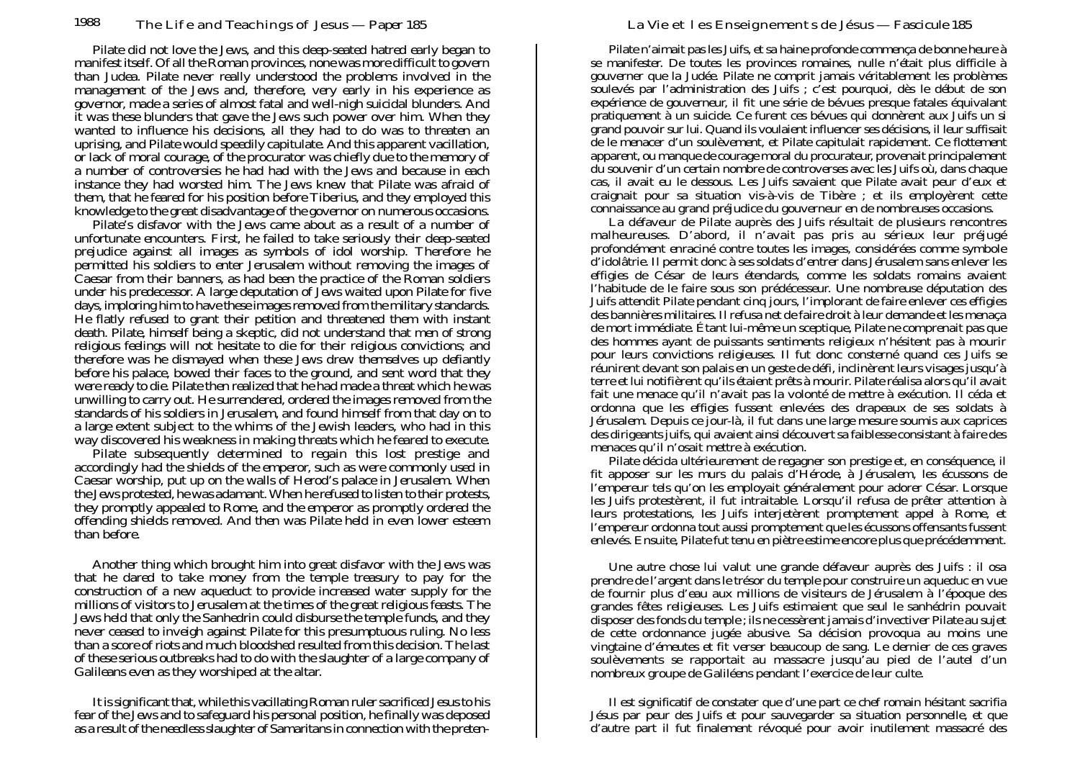Pilate did not love the Jews, and this deep-seated hatred early began to manifest itself. Of all the Roman provinces, none was more difficult to govern than Judea. Pilate never really understood the problems involved in the management of the Jews and, therefore, very early in his experience as governor, made a series of almost fatal and well-nigh suicidal blunders. And it was these blunders that gave the Jews such power over him. When they wanted to influence his decisions, all they had to do was to threaten an uprising, and Pilate would speedily capitulate. And this apparent vacillation, or lack of moral courage, of the procurator was chiefly due to the memory of a number of controversies he had had with the Jews and because in each instance they had worsted him. The Jews knew that Pilate was afraid of them, that he feared for his position before Tiberius, and they employed this knowledge to the great disadvantage of the governor on numerous occasions.

Pilate's disfavor with the Jews came about as a result of a number of unfortunate encounters. First, he failed to take seriously their deep-seated prejudice against all images as symbols of idol worship. Therefore he permitted his soldiers to enter Jerusalem without removing the images of Caesar from their banners, as had been the practice of the Roman soldiers under his predecessor. A large deputation of Jews waited upon Pilate for five days, imploring him to have these images removed from the military standards. He flatly refused to grant their petition and threatened them with instant death. Pilate, himself being a skeptic, did not understand that men of strong religious feelings will not hesitate to die for their religious convictions; and therefore was he dismayed when these Jews drew themselves up defiantly before his palace, bowed their faces to the ground, and sent word that they were ready to die. Pilate then realized that he had made a threat which he was unwilling to carry out. He surrendered, ordered the images removed from the standards of his soldiers in Jerusalem, and found himself from that day on to a large extent subject to the whims of the Jewish leaders, who had in this way discovered his weakness in making threats which he feared to execute.

Pilate subsequently determined to regain this lost prestige and accordingly had the shields of the emperor, such as were commonly used in Caesar worship, put up on the walls of Herod's palace in Jerusalem. When the Jews protested, he was adamant. When he refused to listen to their protests, they promptly appealed to Rome, and the emperor as promptly ordered the offending shields removed. And then was Pilate held in even lower esteem than before.

Another thing which brought him into great disfavor with the Jews was that he dared to take money from the temple treasury to pay for the construction of a new aqueduct to provide increased water supply for the millions of visitors to Jerusalem at the times of the great religious feasts. The Jews held that only the Sanhedrin could disburse the temple funds, and they never ceased to inveigh against Pilate for this presumptuous ruling. No less than a score of riots and much bloodshed resulted from this decision. The last of these serious outbreaks had to do with the slaughter of a large company of Galileans even as they worshiped at the altar.

It is significant that, while this vacillating Roman ruler sacrificed Jesus to his fear of the Jews and to safeguard his personal position, he finally was deposed as a result of the needless slaughter of Samaritans in connection with the preten-

Pilate n'aimait pas les Juifs, et sa haine profonde commença de bonne heure à se manifester. De toutes les provinces romaines, nulle n'était plus difficile à gouverner que la Judée. Pilate ne comprit jamais véritablement les problèmes soulevés par l'administration des Juifs ; c'est pourquoi, dès le début de son expérience de gouverneur, il fit une série de bévues presque fatales équivalant pratiquement à un suicide. Ce furent ces bévues qui donnèrent aux Juifs un si grand pouvoir sur lui. Quand ils voulaient influencer ses décisions, il leur suffisait de le menacer d'un soulèvement, et Pilate capitulait rapidement. Ce flottement apparent, ou manque de courage moral du procurateur, provenait principalement du souvenir d'un certain nombre de controverses avec les Juifs où, dans chaque cas, il avait eu le dessous. Les Juifs savaient que Pilate avait peur d'eux et craignait pour sa situation vis-à-vis de Tibère ; et ils employèrent cette connaissance au grand préjudice du gouverneur en de nombreuses occasions.

La défaveur de Pilate auprès des Juifs résultait de plusieurs rencontres malheureuses. D'abord, il n'avait pas pris au sérieux leur préjugé profondément enraciné contre toutes les images, considérées comme symbole d'idolâtrie. Il permit donc à ses soldats d'entrer dans Jérusalem sans enlever les effigies de César de leurs étendards, comme les soldats romains avaient l'habitude de le faire sous son prédécesseur. Une nombreuse députation des Juifs attendit Pilate pendant cinq jours, l'implorant de faire enlever ces effigies des bannières militaires. Il refusa net de faire droit à leur demande et les menaça de mort immédiate. Étant lui-même un sceptique, Pilate ne comprenait pas que des hommes ayant de puissants sentiments religieux n'hésitent pas à mourir pour leurs convictions religieuses. Il fut donc consterné quand ces Juifs se réunirent devant son palais en un geste de défi, inclinèrent leurs visages jusqu'à terre et lui notifièrent qu'ils étaient prêts à mourir. Pilate réalisa alors qu'il avait fait une menace qu'il n'avait pas la volonté de mettre à exécution. Il céda et ordonna que les effigies fussent enlevées des drapeaux de ses soldats à Jérusalem. Depuis ce jour-là, il fut dans une large mesure soumis aux caprices des dirigeants juifs, qui avaient ainsi découvert sa faiblesse consistant à faire des menaces qu'il n'osait mettre à exécution.

Pilate décida ultérieurement de regagner son prestige et, en conséquence, il fit apposer sur les murs du palais d'Hérode, à Jérusalem, les écussons de l'empereur tels qu'on les employait généralement pour adorer César. Lorsque les Juifs protestèrent, il fut intraitable. Lorsqu'il refusa de prêter attention à leurs protestations, les Juifs interjetèrent promptement appel à Rome, et l'empereur ordonna tout aussi promptement que les écussons offensants fussent enlevés. Ensuite, Pilate fut tenu en piètre estime encore plus que précédemment.

Une autre chose lui valut une grande défaveur auprès des Juifs : il osa prendre de l'argent dans le trésor du temple pour construire un aqueduc en vue de fournir plus d'eau aux millions de visiteurs de Jérusalem à l'époque des grandes fêtes religieuses. Les Juifs estimaient que seul le sanhédrin pouvait disposer des fonds du temple ; ils ne cessèrent jamais d'invectiver Pilate au sujet de cette ordonnance jugée abusive. Sa décision provoqua au moins une vingtaine d'émeutes et fit verser beaucoup de sang. Le dernier de ces graves soulèvements se rapportait au massacre jusqu'au pied de l'autel d'un nombreux groupe de Galiléens pendant l'exercice de leur culte.

Il est significatif de constater que d'une part ce chef romain hésitant sacrifia Jésus par peur des Juifs et pour sauvegarder sa situation personnelle, et que d'autre part il fut finalement révoqué pour avoir inutilement massacré des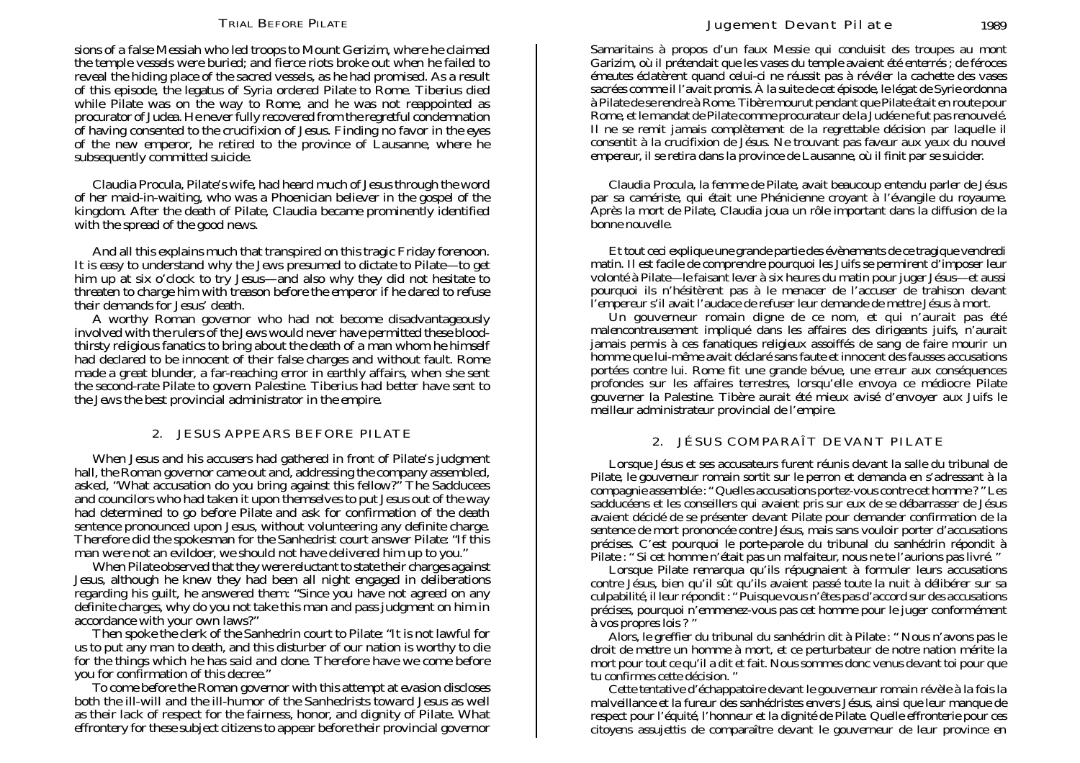#### TRIAL BEFORE

sions of a false Messiah who led troops to Mount Gerizim, where he claimed the temple vessels were buried; and fierce riots broke out when he failed to reveal the hiding place of the sacred vessels, as he had promised. As a result of this episode, the legatus of Syria ordered Pilate to Rome. Tiberius died while Pilate was on the way to Rome, and he was not reappointed as procurator of Judea. He never fully recovered from the regretful condemnation of having consented to the crucifixion of Jesus. Finding no favor in the eyes of the new emperor, he retired to the province of Lausanne, where he subsequently committed suicide.

Claudia Procula, Pilate's wife, had heard much of Jesus through the word of her maid-in-waiting, who was a Phoenician believer in the gospel of the kingdom. After the death of Pilate, Claudia became prominently identified with the spread of the good news.

And all this explains much that transpired on this tragic Friday forenoon. It is easy to understand why the Jews presumed to dictate to Pilate—to get him up at six o'clock to try Jesus—and also why they did not hesitate to threaten to charge him with treason before the emperor if he dared to refuse their demands for Jesus' death.

A worthy Roman governor who had not become disadvantageously involved with the rulers of the Jews would never have permitted these bloodthirsty religious fanatics to bring about the death of a man whom he himself had declared to be innocent of their false charges and without fault. Rome made a great blunder, a far-reaching error in earthly affairs, when she sent the second-rate Pilate to govern Palestine. Tiberius had better have sent to the Jews the best provincial administrator in the empire.

#### 2. JESUS APPEARS BEFORE PILATE

When Jesus and his accusers had gathered in front of Pilate's judgment hall, the Roman governor came out and, addressing the company assembled, asked, "What accusation do you bring against this fellow?" The Sadducees and councilors who had taken it upon themselves to put Jesus out of the way had determined to go before Pilate and ask for confirmation of the death sentence pronounced upon Jesus, without volunteering any definite charge. Therefore did the spokesman for the Sanhedrist court answer Pilate: "If this man were not an evildoer, we should not have delivered him up to you."

When Pilate observed that they were reluctant to state their charges against Jesus, although he knew they had been all night engaged in deliberations regarding his guilt, he answered them: "Since you have not agreed on any definite charges, why do you not take this man and pass judgment on him in accordance with your own laws?"

Then spoke the clerk of the Sanhedrin court to Pilate: "It is not lawful for us to put any man to death, and this disturber of our nation is worthy to die for the things which he has said and done. Therefore have we come before you for confirmation of this decree."

To come before the Roman governor with this attempt at evasion discloses both the ill-will and the ill-humor of the Sanhedrists toward Jesus as well as their lack of respect for the fairness, honor, and dignity of Pilate. What effrontery for these subject citizens to appear before their provincial governor Samaritains à propos d'un faux Messie qui conduisit des troupes au mont Garizim, où il prétendait que les vases du temple avaient été enterrés ; de féroces émeutes éclatèrent quand celui-ci ne réussit pas à révéler la cachette des vases sacrées comme il l'avait promis. À la suite de cet épisode, le légat de Syrie ordonna

à Pilate de se rendre à Rome. Tibère mourut pendant que Pilate était en route pour Rome, et le mandat de Pilate comme procurateur de la Judée ne fut pas renouvelé. Il ne se remit jamais complètement de la regrettable décision par laquelle il consentit à la crucifixion de Jésus. Ne trouvant pas faveur aux yeux du nouvel empereur, il se retira dans la province de Lausanne, où il finit par se suicider.

Claudia Procula, la femme de Pilate, avait beaucoup entendu parler de Jésus par sa camériste, qui était une Phénicienne croyant à l'évangile du royaume. Après la mort de Pilate, Claudia joua un rôle important dans la diffusion de la bonne nouvelle.

Et tout ceci explique une grande partie des évènements de ce tragique vendredi matin. Il est facile de comprendre pourquoi les Juifs se permirent d'imposer leur volonté à Pilate—le faisant lever à six heures du matin pour juger Jésus—et aussi pourquoi ils n'hésitèrent pas à le menacer de l'accuser de trahison devant l'empereur s'il avait l'audace de refuser leur demande de mettre Jésus à mort.

Un gouverneur romain digne de ce nom, et qui n'aurait pas été malencontreusement impliqué dans les affaires des dirigeants juifs, n'aurait jamais permis à ces fanatiques religieux assoiffés de sang de faire mourir un homme que lui-même avait déclaré sans faute et innocent des fausses accusations portées contre lui. Rome fit une grande bévue, une erreur aux conséquences profondes sur les affaires terrestres, lorsqu'elle envoya ce médiocre Pilate gouverner la Palestine. Tibère aurait été mieux avisé d'envoyer aux Juifs le meilleur administrateur provincial de l'empire.

#### 2. JÉSUS COMPARAÎT DEVANT PILATE

Lorsque Jésus et ses accusateurs furent réunis devant la salle du tribunal de Pilate, le gouverneur romain sortit sur le perron et demanda en s'adressant à la compagnie assemblée : " Quelles accusations portez-vous contre cet homme ? " Les sadducéens et les conseillers qui avaient pris sur eux de se débarrasser de Jésus avaient décidé de se présenter devant Pilate pour demander confirmation de la sentence de mort prononcée contre Jésus, mais sans vouloir porter d'accusations précises. C'est pourquoi le porte-parole du tribunal du sanhédrin répondit à Pilate : " Si cet homme n'était pas un malfaiteur, nous ne te l'aurions pas livré. "

Lorsque Pilate remarqua qu'ils répugnaient à formuler leurs accusations contre Jésus, bien qu'il sût qu'ils avaient passé toute la nuit à délibérer sur sa culpabilité, il leur répondit : " Puisque vous n'êtes pas d'accord sur des accusations précises, pourquoi n'emmenez-vous pas cet homme pour le juger conformément à vos propres lois ? "

Alors, le greffier du tribunal du sanhédrin dit à Pilate : " Nous n'avons pas le droit de mettre un homme à mort, et ce perturbateur de notre nation mérite la mort pour tout ce qu'il a dit et fait. Nous sommes donc venus devant toi pour que tu confirmes cette décision. "

Cette tentative d'échappatoire devant le gouverneur romain révèle à la fois la malveillance et la fureur des sanhédristes envers Jésus, ainsi que leur manque de respect pour l'équité, l'honneur et la dignité de Pilate. Quelle effronterie pour ces citoyens assujettis de comparaître devant le gouverneur de leur province en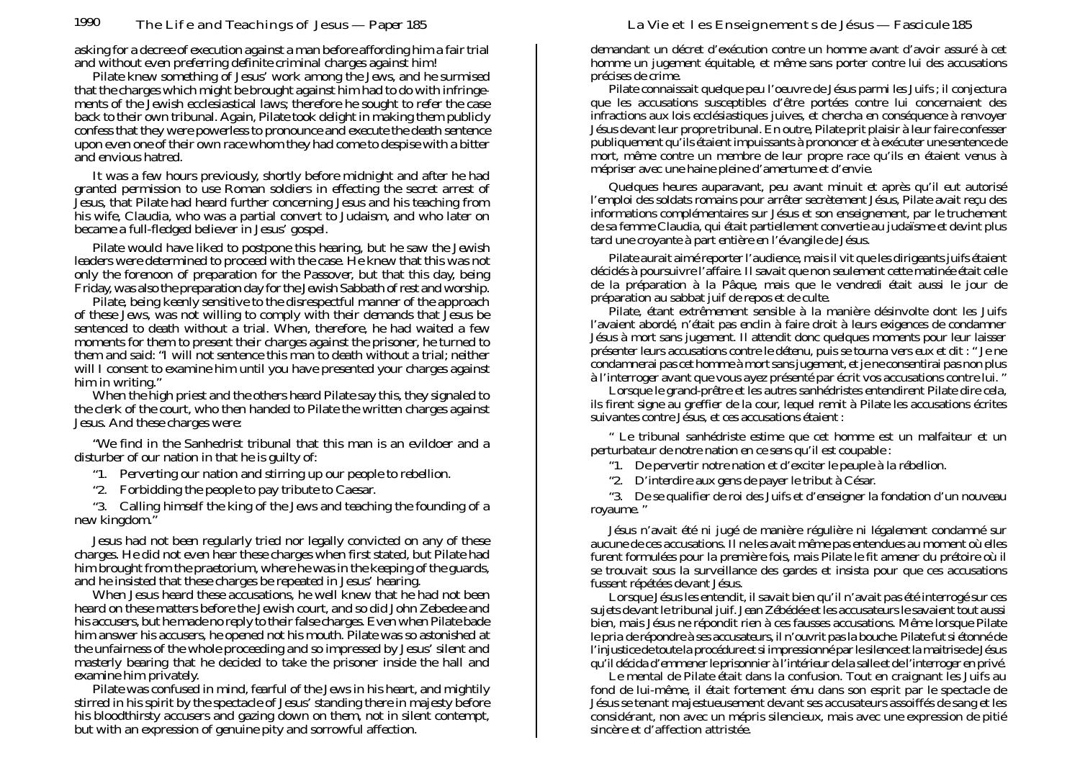asking for a decree of execution against a man before affording him a fair trial and without even preferring definite criminal charges against him!

Pilate knew something of Jesus' work among the Jews, and he surmised that the charges which might be brought against him had to do with infringements of the Jewish ecclesiastical laws; therefore he sought to refer the case back to their own tribunal. Again, Pilate took delight in making them publicly confess that they were powerless to pronounce and execute the death sentence upon even one of their own race whom they had come to despise with a bitter and envious hatred.

It was a few hours previously, shortly before midnight and after he had granted permission to use Roman soldiers in effecting the secret arrest of Jesus, that Pilate had heard further concerning Jesus and his teaching from his wife, Claudia, who was a partial convert to Judaism, and who later on became a full-fledged believer in Jesus' gospel.

Pilate would have liked to postpone this hearing, but he saw the Jewish leaders were determined to proceed with the case. He knew that this was not only the forenoon of preparation for the Passover, but that this day, being Friday, was also the preparation day for the Jewish Sabbath of rest and worship.

Pilate, being keenly sensitive to the disrespectful manner of the approach of these Jews, was not willing to comply with their demands that Jesus be sentenced to death without a trial. When, therefore, he had waited a few moments for them to present their charges against the prisoner, he turned to them and said: "I will not sentence this man to death without a trial; neither will I consent to examine him until you have presented your charges against him in writing."

When the high priest and the others heard Pilate say this, they signaled to the clerk of the court, who then handed to Pilate the written charges against Jesus. And these charges were:

"We find in the Sanhedrist tribunal that this man is an evildoer and a disturber of our nation in that he is guilty of:

"1. Perverting our nation and stirring up our people to rebellion.

"2. Forbidding the people to pay tribute to Caesar.

"3. Calling himself the king of the Jews and teaching the founding of a new kingdom."

Jesus had not been regularly tried nor legally convicted on any of these charges. He did not even hear these charges when first stated, but Pilate had him brought from the praetorium, where he was in the keeping of the guards, and he insisted that these charges be repeated in Jesus' hearing.

When Jesus heard these accusations, he well knew that he had not been heard on these matters before the Jewish court, and so did John Zebedee and his accusers, but he made no reply to their false charges. Even when Pilate bade him answer his accusers, he opened not his mouth. Pilate was so astonished at the unfairness of the whole proceeding and so impressed by Jesus' silent and masterly bearing that he decided to take the prisoner inside the hall and examine him privately.

Pilate was confused in mind, fearful of the Jews in his heart, and mightily stirred in his spirit by the spectacle of Jesus' standing there in majesty before his bloodthirsty accusers and gazing down on them, not in silent contempt, but with an expression of genuine pity and sorrowful affection.

demandant un décret d'exécution contre un homme avant d'avoir assuré à cet homme un jugement équitable, et même sans porter contre lui des accusations précises de crime.

Pilate connaissait quelque peu l'oeuvre de Jésus parmi les Juifs ; il conjectura que les accusations susceptibles d'être portées contre lui concernaient des infractions aux lois ecclésiastiques juives, et chercha en conséquence à renvoyer Jésus devant leur propre tribunal. En outre, Pilate prit plaisir à leur faire confesser publiquement qu'ils étaient impuissants à prononcer et à exécuter une sentence de mort, même contre un membre de leur propre race qu'ils en étaient venus à mépriser avec une haine pleine d'amertume et d'envie.

Quelques heures auparavant, peu avant minuit et après qu'il eut autorisé l'emploi des soldats romains pour arrêter secrètement Jésus, Pilate avait reçu des informations complémentaires sur Jésus et son enseignement, par le truchement de sa femme Claudia, qui était partiellement convertie au judaïsme et devint plus tard une croyante à part entière en l'évangile de Jésus.

Pilate aurait aimé reporter l'audience, mais il vit que les dirigeants juifs étaient décidés à poursuivre l'affaire. Il savait que non seulement cette matinée était celle de la préparation à la Pâque, mais que le vendredi était aussi le jour de préparation au sabbat juif de repos et de culte.

Pilate, étant extrêmement sensible à la manière désinvolte dont les Juifs l'avaient abordé, n'était pas enclin à faire droit à leurs exigences de condamner Jésus à mort sans jugement. Il attendit donc quelques moments pour leur laisser présenter leurs accusations contre le détenu, puis se tourna vers eux et dit : " Je ne condamnerai pas cet homme à mort sans jugement, et je ne consentirai pas non plus à l'interroger avant que vous ayez présenté par écrit vos accusations contre lui. "

Lorsque le grand-prêtre et les autres sanhédristes entendirent Pilate dire cela, ils firent signe au greffier de la cour, lequel remit à Pilate les accusations écrites suivantes contre Jésus, et ces accusations étaient :

" Le tribunal sanhédriste estime que cet homme est un malfaiteur et un perturbateur de notre nation en ce sens qu'il est coupable :

"1. De pervertir notre nation et d'exciter le peuple à la rébellion.

"2. D'interdire aux gens de payer le tribut à César.

"3. De se qualifier de roi des Juifs et d'enseigner la fondation d'un nouveau royaume. "

Jésus n'avait été ni jugé de manière régulière ni légalement condamné sur aucune de ces accusations. Il ne les avait même pas entendues au moment où elles furent formulées pour la première fois, mais Pilate le fit amener du prétoire où il se trouvait sous la surveillance des gardes et insista pour que ces accusations fussent répétées devant Jésus.

Lorsque Jésus les entendit, il savait bien qu'il n'avait pas été interrogé sur ces sujets devant le tribunal juif. Jean Zébédée et les accusateurs le savaient tout aussi bien, mais Jésus ne répondit rien à ces fausses accusations. Même lorsque Pilate le pria de répondre à ses accusateurs, il n'ouvrit pas la bouche. Pilate fut si étonné de l'injustice de toute la procédure et si impressionné par le silence et la maitrise de Jésus qu'il décida d'emmener le prisonnier à l'intérieur de la salle et de l'interroger en privé.

Le mental de Pilate était dans la confusion. Tout en craignant les Juifs au fond de lui-même, il était fortement ému dans son esprit par le spectacle de Jésus se tenant majestueusement devant ses accusateurs assoiffés de sang et les considérant, non avec un mépris silencieux, mais avec une expression de pitié sincère et d'affection attristée.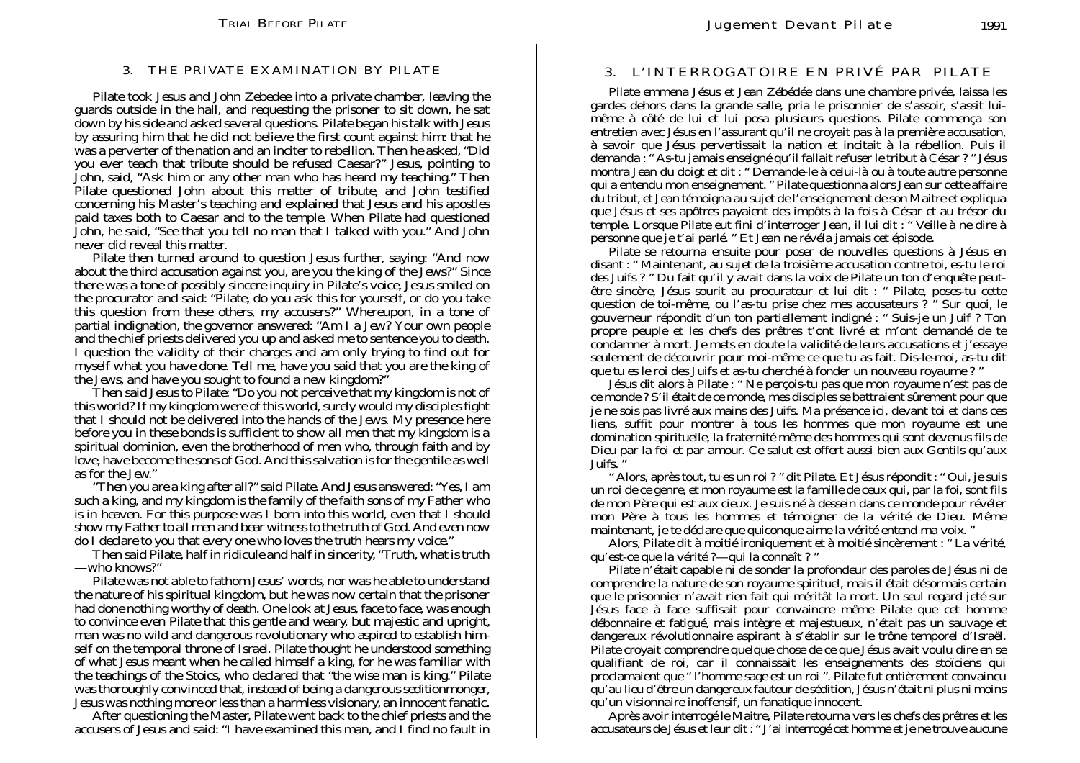## 3. THE PRIVATE EXAMINATION BY PILATE

Pilate took Jesus and John Zebedee into a private chamber, leaving the guards outside in the hall, and requesting the prisoner to sit down, he sat down by his side and asked several questions. Pilate began his talk with Jesus by assuring him that he did not believe the first count against him: that he was a perverter of the nation and an inciter to rebellion. Then he asked, "Did you ever teach that tribute should be refused Caesar?" Jesus, pointing to John, said, "Ask him or any other man who has heard my teaching." Then Pilate questioned John about this matter of tribute, and John testified concerning his Master's teaching and explained that Jesus and his apostles paid taxes both to Caesar and to the temple. When Pilate had questioned John, he said, "See that you tell no man that I talked with you." And John never did reveal this matter.

Pilate then turned around to question Jesus further, saying: "And now about the third accusation against you, are you the king of the Jews?" Since there was a tone of possibly sincere inquiry in Pilate's voice, Jesus smiled on the procurator and said: "Pilate, do you ask this for yourself, or do you take this question from these others, my accusers?" Whereupon, in a tone of partial indignation, the governor answered: "Am I a Jew? Your own people and the chief priests delivered you up and asked me to sentence you to death. I question the validity of their charges and am only trying to find out for myself what you have done. Tell me, have you said that you are the king of the Jews, and have you sought to found a new kingdom?"

Then said Jesus to Pilate: "Do you not perceive that my kingdom is not of this world? If my kingdom were of this world, surely would my disciples fight that I should not be delivered into the hands of the Jews. My presence here before you in these bonds is sufficient to show all men that my kingdom is a spiritual dominion, even the brotherhood of men who, through faith and by love, have become the sons of God. And this salvation is for the gentile as well as for the Jew."

"Then you are a king after all?" said Pilate. And Jesus answered: "Yes, I am such a king, and my kingdom is the family of the faith sons of my Father who is in heaven. For this purpose was I born into this world, even that I should show my Father to all men and bear witness to the truth of God. And even now do I declare to you that every one who loves the truth hears my voice."

Then said Pilate, half in ridicule and half in sincerity, "Truth, what is truth —who knows?"

Pilate was not able to fathom Jesus' words, nor was he able to understand the nature of his spiritual kingdom, but he was now certain that the prisoner had done nothing worthy of death. One look at Jesus, face to face, was enough to convince even Pilate that this gentle and weary, but majestic and upright, man was no wild and dangerous revolutionary who aspired to establish himself on the temporal throne of Israel. Pilate thought he understood something of what Jesus meant when he called himself a king, for he was familiar with the teachings of the Stoics, who declared that "the wise man is king." Pilate was thoroughly convinced that, instead of being a dangerous seditionmonger, Jesus was nothing more or less than a harmless visionary, an innocent fanatic.

After questioning the Master, Pilate went back to the chief priests and the accusers of Jesus and said: "I have examined this man, and I find no fault in

## 3. L'INTERROGATOIRE EN PRIVÉ PAR PILATE

Pilate emmena Jésus et Jean Zébédée dans une chambre privée, laissa les gardes dehors dans la grande salle, pria le prisonnier de s'assoir, s'assit luimême à côté de lui et lui posa plusieurs questions. Pilate commença son entretien avec Jésus en l'assurant qu'il ne croyait pas à la première accusation, à savoir que Jésus pervertissait la nation et incitait à la rébellion. Puis il demanda : " As-tu jamais enseigné qu'il fallait refuser le tribut à César ? " Jésus montra Jean du doigt et dit : " Demande-le à celui-là ou à toute autre personne qui a entendu mon enseignement. " Pilate questionna alors Jean sur cette affaire du tribut, et Jean témoigna au sujet de l'enseignement de son Maitre et expliqua que Jésus et ses apôtres payaient des impôts à la fois à César et au trésor du temple. Lorsque Pilate eut fini d'interroger Jean, il lui dit : " Veille à ne dire à personne que je t'ai parlé. " Et Jean ne révéla jamais cet épisode.

Pilate se retourna ensuite pour poser de nouvelles questions à Jésus en disant : " Maintenant, au sujet de la troisième accusation contre toi, es-tu le roi des Juifs ? " Du fait qu'il y avait dans la voix de Pilate un ton d'enquête peutêtre sincère, Jésus sourit au procurateur et lui dit : " Pilate, poses-tu cette question de toi-même, ou l'as-tu prise chez mes accusateurs ? " Sur quoi, le gouverneur répondit d'un ton partiellement indigné : " Suis-je un Juif ? Ton propre peuple et les chefs des prêtres t'ont livré et m'ont demandé de te condamner à mort. Je mets en doute la validité de leurs accusations et j'essaye seulement de découvrir pour moi-même ce que tu as fait. Dis-le-moi, as-tu dit que tu es le roi des Juifs et as-tu cherché à fonder un nouveau royaume ? "

Jésus dit alors à Pilate : " Ne perçois-tu pas que mon royaume n'est pas de ce monde ? S'il était de ce monde, mes disciples se battraient sûrement pour que je ne sois pas livré aux mains des Juifs. Ma présence ici, devant toi et dans ces liens, suffit pour montrer à tous les hommes que mon royaume est une domination spirituelle, la fraternité même des hommes qui sont devenus fils de Dieu par la foi et par amour. Ce salut est offert aussi bien aux Gentils qu'aux Juifs.

" Alors, après tout, tu es un roi ? " dit Pilate. Et Jésus répondit : " Oui, je suis un roi de ce genre, et mon royaume est la famille de ceux qui, par la foi, sont fils de mon Père qui est aux cieux. Je suis né à dessein dans ce monde pour révéler mon Père à tous les hommes et témoigner de la vérité de Dieu. Même maintenant, je te déclare que quiconque aime la vérité entend ma voix. "

Alors, Pilate dit à moitié ironiquement et à moitié sincèrement : " La vérité, qu'est-ce que la vérité ?—qui la connaît ? "

Pilate n'était capable ni de sonder la profondeur des paroles de Jésus ni de comprendre la nature de son royaume spirituel, mais il était désormais certain que le prisonnier n'avait rien fait qui méritât la mort. Un seul regard jeté sur Jésus face à face suffisait pour convaincre même Pilate que cet homme débonnaire et fatigué, mais intègre et majestueux, n'était pas un sauvage et dangereux révolutionnaire aspirant à s'établir sur le trône temporel d'Israël. Pilate croyait comprendre quelque chose de ce que Jésus avait voulu dire en se qualifiant de roi, car il connaissait les enseignements des stoïciens qui proclamaient que " l'homme sage est un roi ". Pilate fut entièrement convaincu qu'au lieu d'être un dangereux fauteur de sédition, Jésus n'était ni plus ni moins qu'un visionnaire inoffensif, un fanatique innocent.

Après avoir interrogé le Maitre, Pilate retourna vers les chefs des prêtres et les accusateurs de Jésus et leur dit : " J'ai interrogé cet homme et je ne trouve aucune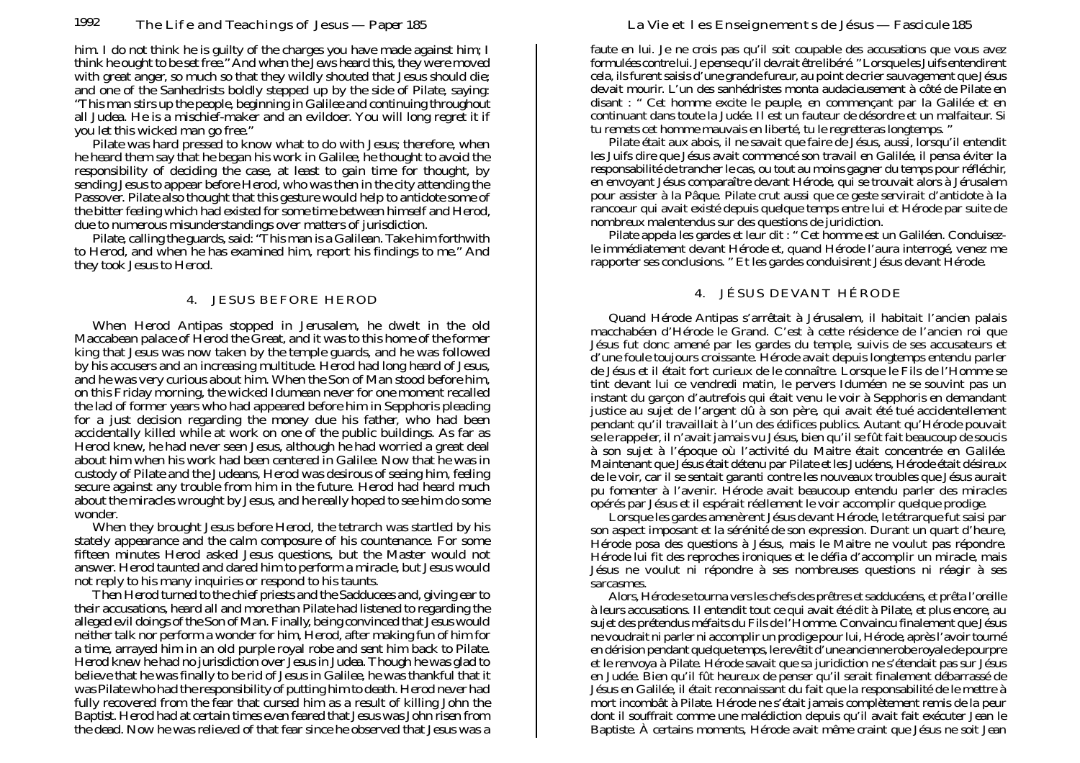him. I do not think he is guilty of the charges you have made against him; I think he ought to be set free." And when the Jews heard this, they were moved with great anger, so much so that they wildly shouted that Jesus should die; and one of the Sanhedrists boldly stepped up by the side of Pilate, saying: "This man stirs up the people, beginning in Galilee and continuing throughout all Judea. He is a mischief-maker and an evildoer. You will long regret it if you let this wicked man go free."

Pilate was hard pressed to know what to do with Jesus; therefore, when he heard them say that he began his work in Galilee, he thought to avoid the responsibility of deciding the case, at least to gain time for thought, by sending Jesus to appear before Herod, who was then in the city attending the Passover. Pilate also thought that this gesture would help to antidote some of the bitter feeling which had existed for some time between himself and Herod, due to numerous misunderstandings over matters of jurisdiction.

Pilate, calling the guards, said: "This man is a Galilean. Take him forthwith to Herod, and when he has examined him, report his findings to me." And they took Jesus to Herod.

#### 4. JESUS BEFORE HEROD

When Herod Antipas stopped in Jerusalem, he dwelt in the old Maccabean palace of Herod the Great, and it was to this home of the former king that Jesus was now taken by the temple guards, and he was followed by his accusers and an increasing multitude. Herod had long heard of Jesus, and he was very curious about him. When the Son of Man stood before him, on this Friday morning, the wicked Idumean never for one moment recalled the lad of former years who had appeared before him in Sepphoris pleading for a just decision regarding the money due his father, who had been accidentally killed while at work on one of the public buildings. As far as Herod knew, he had never seen Jesus, although he had worried a great deal about him when his work had been centered in Galilee. Now that he was in custody of Pilate and the Judeans, Herod was desirous of seeing him, feeling secure against any trouble from him in the future. Herod had heard much about the miracles wrought by Jesus, and he really hoped to see him do some wonder.

When they brought Jesus before Herod, the tetrarch was startled by his stately appearance and the calm composure of his countenance. For some fifteen minutes Herod asked Jesus questions, but the Master would not answer. Herod taunted and dared him to perform a miracle, but Jesus would not reply to his many inquiries or respond to his taunts.

Then Herod turned to the chief priests and the Sadducees and, giving ear to their accusations, heard all and more than Pilate had listened to regarding the alleged evil doings of the Son of Man. Finally, being convinced that Jesus would neither talk nor perform a wonder for him, Herod, after making fun of him for a time, arrayed him in an old purple royal robe and sent him back to Pilate. Herod knew he had no jurisdiction over Jesus in Judea. Though he was glad to believe that he was finally to be rid of Jesus in Galilee, he was thankful that it was Pilate who had the responsibility of putting him to death. Herod never had fully recovered from the fear that cursed him as a result of killing John the Baptist. Herod had at certain times even feared that Jesus was John risen from the dead. Now he was relieved of that fear since he observed that Jesus was a

faute en lui. Je ne crois pas qu'il soit coupable des accusations que vous avez formulées contre lui. Je pense qu'il devrait être libéré. " Lorsque les Juifs entendirent cela, ils furent saisis d'une grande fureur, au point de crier sauvagement que Jésus devait mourir. L'un des sanhédristes monta audacieusement à côté de Pilate en disant : " Cet homme excite le peuple, en commençant par la Galilée et en continuant dans toute la Judée. Il est un fauteur de désordre et un malfaiteur. Si tu remets cet homme mauvais en liberté, tu le regretteras longtemps. "

Pilate était aux abois, il ne savait que faire de Jésus, aussi, lorsqu'il entendit les Juifs dire que Jésus avait commencé son travail en Galilée, il pensa éviter la responsabilité de trancher le cas, ou tout au moins gagner du temps pour réfléchir, en envoyant Jésus comparaître devant Hérode, qui se trouvait alors à Jérusalem pour assister à la Pâque. Pilate crut aussi que ce geste servirait d'antidote à la rancoeur qui avait existé depuis quelque temps entre lui et Hérode par suite de nombreux malentendus sur des questions de juridiction.

Pilate appela les gardes et leur dit : " Cet homme est un Galiléen. Conduisezle immédiatement devant Hérode et, quand Hérode l'aura interrogé, venez me rapporter ses conclusions. " Et les gardes conduisirent Jésus devant Hérode.

#### 4. JÉSUS DEVANT HÉRODE

Quand Hérode Antipas s'arrêtait à Jérusalem, il habitait l'ancien palais macchabéen d'Hérode le Grand. C'est à cette résidence de l'ancien roi que Jésus fut donc amené par les gardes du temple, suivis de ses accusateurs et d'une foule toujours croissante. Hérode avait depuis longtemps entendu parler de Jésus et il était fort curieux de le connaître. Lorsque le Fils de l'Homme se tint devant lui ce vendredi matin, le pervers Iduméen ne se souvint pas un instant du garçon d'autrefois qui était venu le voir à Sepphoris en demandant justice au sujet de l'argent dû à son père, qui avait été tué accidentellement pendant qu'il travaillait à l'un des édifices publics. Autant qu'Hérode pouvait se le rappeler, il n'avait jamais vu Jésus, bien qu'il se fût fait beaucoup de soucis à son sujet à l'époque où l'activité du Maitre était concentrée en Galilée. Maintenant que Jésus était détenu par Pilate et les Judéens, Hérode était désireux de le voir, car il se sentait garanti contre les nouveaux troubles que Jésus aurait pu fomenter à l'avenir. Hérode avait beaucoup entendu parler des miracles opérés par Jésus et il espérait réellement le voir accomplir quelque prodige.

Lorsque les gardes amenèrent Jésus devant Hérode, le tétrarque fut saisi par son aspect imposant et la sérénité de son expression. Durant un quart d'heure, Hérode posa des questions à Jésus, mais le Maitre ne voulut pas répondre. Hérode lui fit des reproches ironiques et le défia d'accomplir un miracle, mais Jésus ne voulut ni répondre à ses nombreuses questions ni réagir à ses sarcasmes.

Alors, Hérode se tourna vers les chefs des prêtres et sadducéens, et prêta l'oreille à leurs accusations. Il entendit tout ce qui avait été dit à Pilate, et plus encore, au sujet des prétendus méfaits du Fils de l'Homme. Convaincu finalement que Jésus ne voudrait ni parler ni accomplir un prodige pour lui, Hérode, après l'avoir tourné en dérision pendant quelque temps, le revêtit d'une ancienne robe royale de pourpre et le renvoya à Pilate. Hérode savait que sa juridiction ne s'étendait pas sur Jésus en Judée. Bien qu'il fût heureux de penser qu'il serait finalement débarrassé de Jésus en Galilée, il était reconnaissant du fait que la responsabilité de le mettre à mort incombât à Pilate. Hérode ne s'était jamais complètement remis de la peur Baptiste. À certains moments, Hérode avait même craint que Jésus ne soit Jean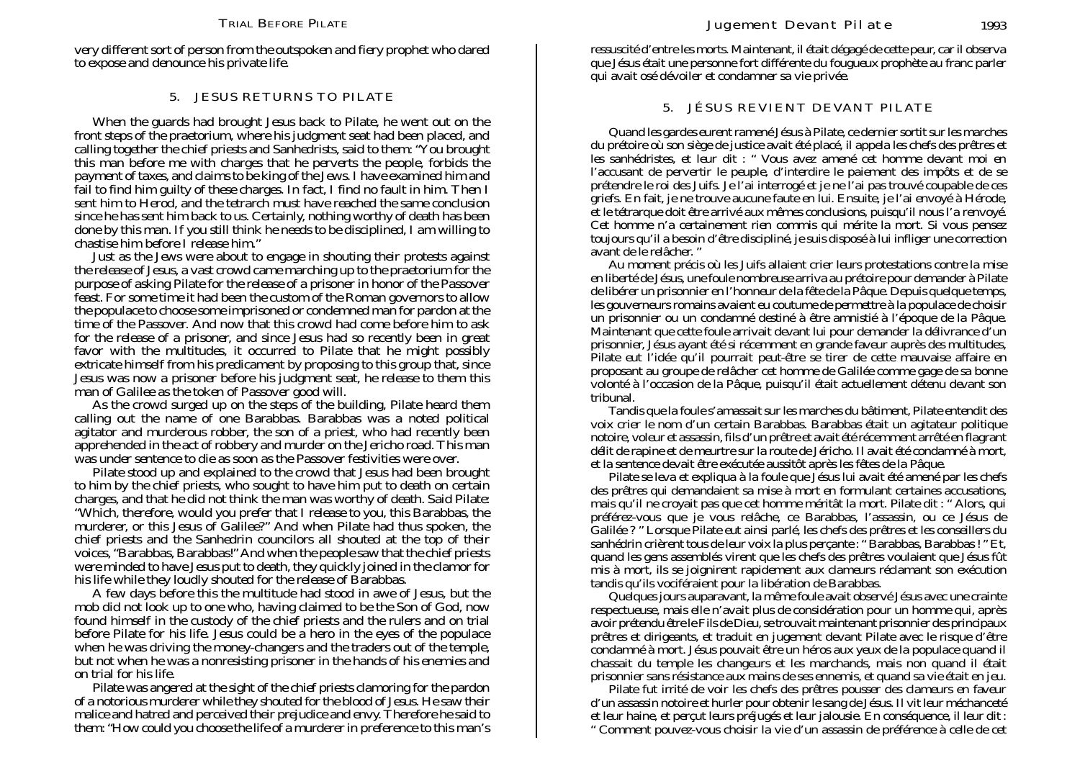## TRIAL BEFORE

very different sort of person from the outspoken and fiery prophet who dared to expose and denounce his private life.

#### 5. JESUS RETURNS TO PILATE

When the guards had brought Jesus back to Pilate, he went out on the front steps of the praetorium, where his judgment seat had been placed, and calling together the chief priests and Sanhedrists, said to them: "You brought this man before me with charges that he perverts the people, forbids the payment of taxes, and claims to be king of the Jews. I have examined him and fail to find him guilty of these charges. In fact, I find no fault in him. Then I sent him to Herod, and the tetrarch must have reached the same conclusion since he has sent him back to us. Certainly, nothing worthy of death has been done by this man. If you still think he needs to be disciplined, I am willing to chastise him before I release him."

Just as the Jews were about to engage in shouting their protests against the release of Jesus, a vast crowd came marching up to the praetorium for the purpose of asking Pilate for the release of a prisoner in honor of the Passover feast. For some time it had been the custom of the Roman governors to allow the populace to choose some imprisoned or condemned man for pardon at the time of the Passover. And now that this crowd had come before him to ask for the release of a prisoner, and since Jesus had so recently been in great favor with the multitudes, it occurred to Pilate that he might possibly extricate himself from his predicament by proposing to this group that, since Jesus was now a prisoner before his judgment seat, he release to them this man of Galilee as the token of Passover good will.

As the crowd surged up on the steps of the building, Pilate heard them calling out the name of one Barabbas. Barabbas was a noted political agitator and murderous robber, the son of a priest, who had recently been apprehended in the act of robbery and murder on the Jericho road. This man was under sentence to die as soon as the Passover festivities were over.

Pilate stood up and explained to the crowd that Jesus had been brought to him by the chief priests, who sought to have him put to death on certain charges, and that he did not think the man was worthy of death. Said Pilate: "Which, therefore, would you prefer that I release to you, this Barabbas, the murderer, or this Jesus of Galilee?" And when Pilate had thus spoken, the chief priests and the Sanhedrin councilors all shouted at the top of their voices, "Barabbas, Barabbas!" And when the people saw that the chief priests were minded to have Jesus put to death, they quickly joined in the clamor for his life while they loudly shouted for the release of Barabbas.

A few days before this the multitude had stood in awe of Jesus, but the mob did not look up to one who, having claimed to be the Son of God, now found himself in the custody of the chief priests and the rulers and on trial before Pilate for his life. Jesus could be a hero in the eyes of the populace when he was driving the money-changers and the traders out of the temple, but not when he was a nonresisting prisoner in the hands of his enemies and on trial for his life.

Pilate was angered at the sight of the chief priests clamoring for the pardon of a notorious murderer while they shouted for the blood of Jesus. He saw their malice and hatred and perceived their prejudice and envy. Therefore he said to them: "How could you choose the life of a murderer in preference to this man's ressuscité d'entre les morts. Maintenant, il était dégagé de cette peur, car il observa que Jésus était une personne fort différente du fougueux prophète au franc parler qui avait osé dévoiler et condamner sa vie privée.

## 5. JÉSUS REVIENT DEVANT PILATE

Quand les gardes eurent ramené Jésus à Pilate, ce dernier sortit sur les marches du prétoire où son siège de justice avait été placé, il appela les chefs des prêtres et les sanhédristes, et leur dit : " Vous avez amené cet homme devant moi en l'accusant de pervertir le peuple, d'interdire le paiement des impôts et de se prétendre le roi des Juifs. Je l'ai interrogé et je ne l'ai pas trouvé coupable de ces griefs. En fait, je ne trouve aucune faute en lui. Ensuite, je l'ai envoyé à Hérode, et le tétrarque doit être arrivé aux mêmes conclusions, puisqu'il nous l'a renvoyé. Cet homme n'a certainement rien commis qui mérite la mort. Si vous pensez toujours qu'il a besoin d'être discipliné, je suis disposé à lui infliger une correction avant de le relâcher. "

Au moment précis où les Juifs allaient crier leurs protestations contre la mise en liberté de Jésus, une foule nombreuse arriva au prétoire pour demander à Pilate de libérer un prisonnier en l'honneur de la fête de la Pâque. Depuis quelque temps, les gouverneurs romains avaient eu coutume de permettre à la populace de choisir un prisonnier ou un condamné destiné à être amnistié à l'époque de la Pâque. Maintenant que cette foule arrivait devant lui pour demander la délivrance d'un prisonnier, Jésus ayant été si récemment en grande faveur auprès des multitudes, Pilate eut l'idée qu'il pourrait peut-être se tirer de cette mauvaise affaire en proposant au groupe de relâcher cet homme de Galilée comme gage de sa bonne volonté à l'occasion de la Pâque, puisqu'il était actuellement détenu devant son tribunal.

Tandis que la foule s'amassait sur les marches du bâtiment, Pilate entendit des voix crier le nom d'un certain Barabbas. Barabbas était un agitateur politique notoire, voleur et assassin, fils d'un prêtre et avait été récemment arrêté en flagrant délit de rapine et de meurtre sur la route de Jéricho. Il avait été condamné à mort, et la sentence devait être exécutée aussitôt après les fêtes de la Pâque.

Pilate se leva et expliqua à la foule que Jésus lui avait été amené par les chefs des prêtres qui demandaient sa mise à mort en formulant certaines accusations, mais qu'il ne croyait pas que cet homme méritât la mort. Pilate dit : " Alors, qui préférez-vous que je vous relâche, ce Barabbas, l'assassin, ou ce Jésus de Galilée ? " Lorsque Pilate eut ainsi parlé, les chefs des prêtres et les conseillers du sanhédrin crièrent tous de leur voix la plus perçante : " Barabbas, Barabbas ! " Et, quand les gens assemblés virent que les chefs des prêtres voulaient que Jésus fût mis à mort, ils se joignirent rapidement aux clameurs réclamant son exécution tandis qu'ils vociféraient pour la libération de Barabbas.

Quelques jours auparavant, la même foule avait observé Jésus avec une crainte respectueuse, mais elle n'avait plus de considération pour un homme qui, après avoir prétendu être le Fils de Dieu, se trouvait maintenant prisonnier des principaux prêtres et dirigeants, et traduit en jugement devant Pilate avec le risque d'être condamné à mort. Jésus pouvait être un héros aux yeux de la populace quand il chassait du temple les changeurs et les marchands, mais non quand il était prisonnier sans résistance aux mains de ses ennemis, et quand sa vie était en jeu.

Pilate fut irrité de voir les chefs des prêtres pousser des clameurs en faveur d'un assassin notoire et hurler pour obtenir le sang de Jésus. Il vit leur méchanceté et leur haine, et perçut leurs préjugés et leur jalousie. En conséquence, il leur dit : " Comment pouvez-vous choisir la vie d'un assassin de préférence à celle de cet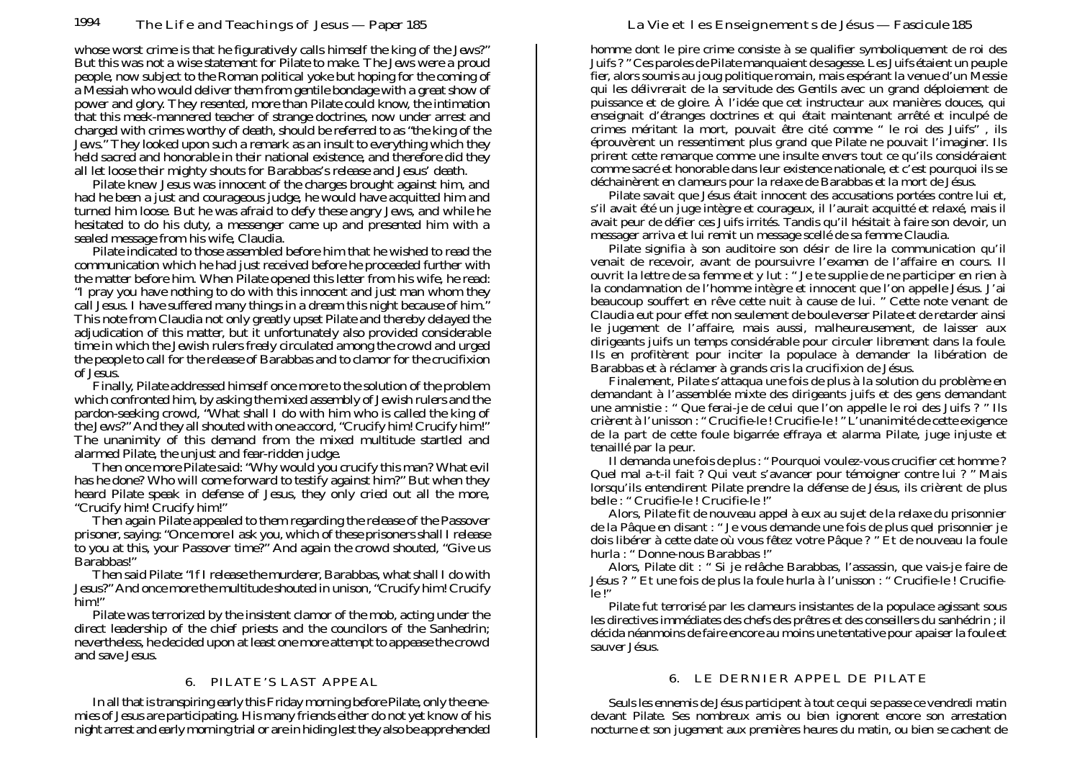whose worst crime is that he figuratively calls himself the king of the Jews?" But this was not a wise statement for Pilate to make. The Jews were a proud people, now subject to the Roman political yoke but hoping for the coming of a Messiah who would deliver them from gentile bondage with a great show of power and glory. They resented, more than Pilate could know, the intimation that this meek-mannered teacher of strange doctrines, now under arrest and charged with crimes worthy of death, should be referred to as "the king of the Jews." They looked upon such a remark as an insult to everything which they held sacred and honorable in their national existence, and therefore did they all let loose their mighty shouts for Barabbas's release and Jesus' death.

Pilate knew Jesus was innocent of the charges brought against him, and had he been a just and courageous judge, he would have acquitted him and turned him loose. But he was afraid to defy these angry Jews, and while he hesitated to do his duty, a messenger came up and presented him with a sealed message from his wife, Claudia.

Pilate indicated to those assembled before him that he wished to read the communication which he had just received before he proceeded further with the matter before him. When Pilate opened this letter from his wife, he read: "I pray you have nothing to do with this innocent and just man whom they call Jesus. I have suffered many things in a dream this night because of him." This note from Claudia not only greatly upset Pilate and thereby delayed the adjudication of this matter, but it unfortunately also provided considerable time in which the Jewish rulers freely circulated among the crowd and urged the people to call for the release of Barabbas and to clamor for the crucifixion of Jesus.

Finally, Pilate addressed himself once more to the solution of the problem which confronted him, by asking the mixed assembly of Jewish rulers and the pardon-seeking crowd, "What shall I do with him who is called the king of the Jews?" And they all shouted with one accord, "Crucify him! Crucify him!" The unanimity of this demand from the mixed multitude startled and alarmed Pilate, the unjust and fear-ridden judge.

Then once more Pilate said: "Why would you crucify this man? What evil has he done? Who will come forward to testify against him?" But when they heard Pilate speak in defense of Jesus, they only cried out all the more, "Crucify him! Crucify him!"

Then again Pilate appealed to them regarding the release of the Passover prisoner, saying: "Once more I ask you, which of these prisoners shall I release to you at this, your Passover time?" And again the crowd shouted, "Give us Barabbas!"

Then said Pilate: "If I release the murderer, Barabbas, what shall I do with Jesus?" And once more the multitude shouted in unison, "Crucify him! Crucify him!"

Pilate was terrorized by the insistent clamor of the mob, acting under the direct leadership of the chief priests and the councilors of the Sanhedrin; nevertheless, he decided upon at least one more attempt to appease the crowd and save Jesus.

## 6. PILATE'S LAST APPEAL

In all that is transpiring early this Friday morning before Pilate, only the enemies of Jesus are participating. His many friends either do not yet know of his night arrest and early morning trial or are in hiding lest they also be apprehended homme dont le pire crime consiste à se qualifier symboliquement de roi des Juifs ? " Ces paroles de Pilate manquaient de sagesse. Les Juifs étaient un peuple fier, alors soumis au joug politique romain, mais espérant la venue d'un Messie qui les délivrerait de la servitude des Gentils avec un grand déploiement de puissance et de gloire. À l'idée que cet instructeur aux manières douces, qui enseignait d'étranges doctrines et qui était maintenant arrêté et inculpé de crimes méritant la mort, pouvait être cité comme " le roi des Juifs" , ils éprouvèrent un ressentiment plus grand que Pilate ne pouvait l'imaginer. Ils prirent cette remarque comme une insulte envers tout ce qu'ils considéraient comme sacré et honorable dans leur existence nationale, et c'est pourquoi ils se déchainèrent en clameurs pour la relaxe de Barabbas et la mort de Jésus.

Pilate savait que Jésus était innocent des accusations portées contre lui et, <sup>s</sup>'il avait été un juge intègre et courageux, il l'aurait acquitté et relaxé, mais il avait peur de défier ces Juifs irrités. Tandis qu'il hésitait à faire son devoir, un messager arriva et lui remit un message scellé de sa femme Claudia.

Pilate signifia à son auditoire son désir de lire la communication qu'il venait de recevoir, avant de poursuivre l'examen de l'affaire en cours. Il ouvrit la lettre de sa femme et y lut : " Je te supplie de ne participer en rien à la condamnation de l'homme intègre et innocent que l'on appelle Jésus. J'ai beaucoup souffert en rêve cette nuit à cause de lui. " Cette note venant de Claudia eut pour effet non seulement de bouleverser Pilate et de retarder ainsi le jugement de l'affaire, mais aussi, malheureusement, de laisser aux dirigeants juifs un temps considérable pour circuler librement dans la foule. Ils en profitèrent pour inciter la populace à demander la libération de Barabbas et à réclamer à grands cris la crucifixion de Jésus.

Finalement, Pilate s'attaqua une fois de plus à la solution du problème en demandant à l'assemblée mixte des dirigeants juifs et des gens demandant une amnistie : " Que ferai-je de celui que l'on appelle le roi des Juifs ? " Ils crièrent à l'unisson : " Crucifie-le ! Crucifie-le ! " L'unanimité de cette exigence de la part de cette foule bigarrée effraya et alarma Pilate, juge injuste et tenaillé par la peur.

Il demanda une fois de plus : " Pourquoi voulez-vous crucifier cet homme ? Quel mal a-t-il fait ? Qui veut s'avancer pour témoigner contre lui ? " Mais lorsqu'ils entendirent Pilate prendre la défense de Jésus, ils crièrent de plus belle : " Crucifie-le ! Crucifie-le !"

Alors, Pilate fit de nouveau appel à eux au sujet de la relaxe du prisonnier de la Pâque en disant : " Je vous demande une fois de plus quel prisonnier je dois libérer à cette date où vous fêtez votre Pâque ? " Et de nouveau la foule hurla : " Donne-nous Barabbas !"

Alors, Pilate dit : " Si je relâche Barabbas, l'assassin, que vais-je faire de Jésus ? " Et une fois de plus la foule hurla à l'unisson : " Crucifie-le ! Crucifiele !"

Pilate fut terrorisé par les clameurs insistantes de la populace agissant sous les directives immédiates des chefs des prêtres et des conseillers du sanhédrin ; il décida néanmoins de faire encore au moins une tentative pour apaiser la foule et sauver Jésus.

## 6. LE DERNIER APPEL DE PILATE

Seuls les ennemis de Jésus participent à tout ce qui se passe ce vendredi matin devant Pilate. Ses nombreux amis ou bien ignorent encore son arrestation nocturne et son jugement aux premières heures du matin, ou bien se cachent de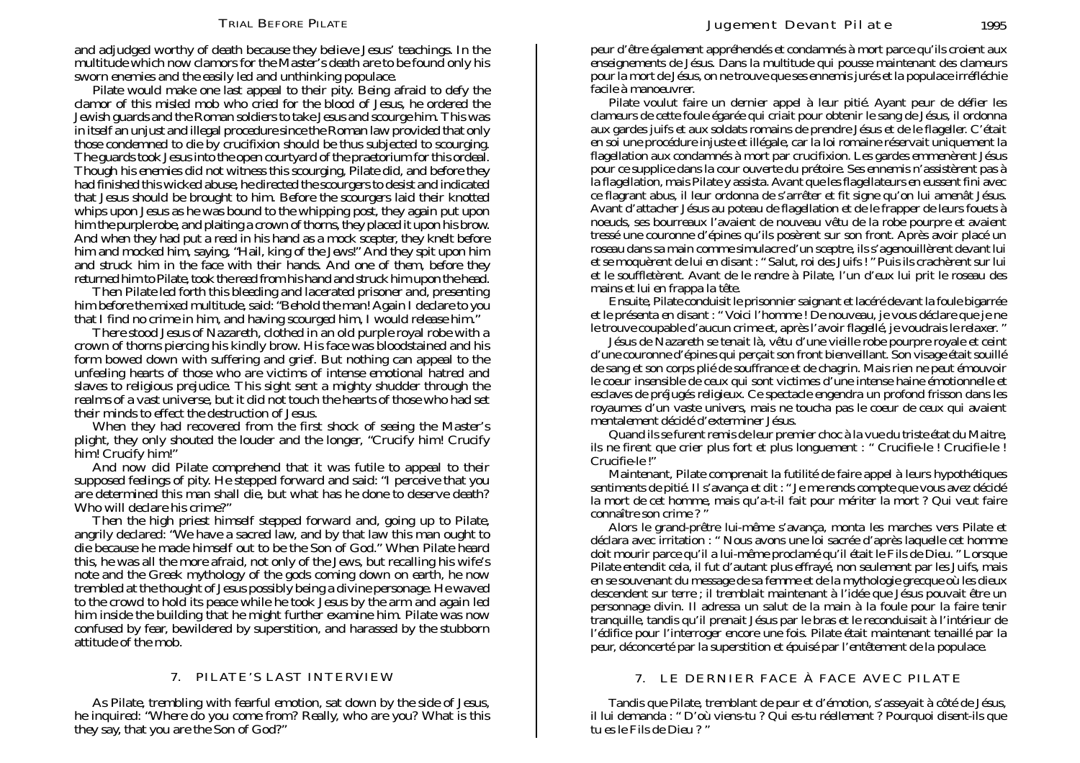#### TRIAL BEFORE

and adjudged worthy of death because they believe Jesus' teachings. In the multitude which now clamors for the Master's death are to be found only his sworn enemies and the easily led and unthinking populace.

Pilate would make one last appeal to their pity. Being afraid to defy the clamor of this misled mob who cried for the blood of Jesus, he ordered the Jewish guards and the Roman soldiers to take Jesus and scourge him. This was in itself an unjust and illegal procedure since the Roman law provided that only those condemned to die by crucifixion should be thus subjected to scourging. The guards took Jesus into the open courtyard of the praetorium for this ordeal. Though his enemies did not witness this scourging, Pilate did, and before they had finished this wicked abuse, he directed the scourgers to desist and indicated that Jesus should be brought to him. Before the scourgers laid their knotted whips upon Jesus as he was bound to the whipping post, they again put upon him the purple robe, and plaiting a crown of thorns, they placed it upon his brow. And when they had put a reed in his hand as a mock scepter, they knelt before him and mocked him, saying, "Hail, king of the Jews!" And they spit upon him and struck him in the face with their hands. And one of them, before they returned him to Pilate, took the reed from his hand and struck him upon the head.

Then Pilate led forth this bleeding and lacerated prisoner and, presenting him before the mixed multitude, said: "Behold the man! Again I declare to you that I find no crime in him, and having scourged him, I would release him."

There stood Jesus of Nazareth, clothed in an old purple royal robe with a crown of thorns piercing his kindly brow. His face was bloodstained and his form bowed down with suffering and grief. But nothing can appeal to the unfeeling hearts of those who are victims of intense emotional hatred and slaves to religious prejudice. This sight sent a mighty shudder through the realms of a vast universe, but it did not touch the hearts of those who had set their minds to effect the destruction of Jesus.

When they had recovered from the first shock of seeing the Master's plight, they only shouted the louder and the longer, "Crucify him! Crucify him! Crucify him!"

And now did Pilate comprehend that it was futile to appeal to their supposed feelings of pity. He stepped forward and said: "I perceive that you are determined this man shall die, but what has he done to deserve death? Who will declare his crime?"

Then the high priest himself stepped forward and, going up to Pilate, angrily declared: "We have a sacred law, and by that law this man ought to die because he made himself out to be the Son of God." When Pilate heard this, he was all the more afraid, not only of the Jews, but recalling his wife's note and the Greek mythology of the gods coming down on earth, he now trembled at the thought of Jesus possibly being a divine personage. He waved to the crowd to hold its peace while he took Jesus by the arm and again led him inside the building that he might further examine him. Pilate was now confused by fear, bewildered by superstition, and harassed by the stubborn attitude of the mob.

#### 7. PILATE'S LAST INTERVIEW

As Pilate, trembling with fearful emotion, sat down by the side of Jesus, he inquired: "Where do you come from? Really, who are you? What is this they say, that you are the Son of God?"

peur d'être également appréhendés et condamnés à mort parce qu'ils croient aux enseignements de Jésus. Dans la multitude qui pousse maintenant des clameurs pour la mort de Jésus, on ne trouve que ses ennemis jurés et la populace irréfléchie facile à manoeuvrer.

Pilate voulut faire un dernier appel à leur pitié. Ayant peur de défier les clameurs de cette foule égarée qui criait pour obtenir le sang de Jésus, il ordonna aux gardes juifs et aux soldats romains de prendre Jésus et de le flageller. C'était en soi une procédure injuste et illégale, car la loi romaine réservait uniquement la flagellation aux condamnés à mort par crucifixion. Les gardes emmenèrent Jésus pour ce supplice dans la cour ouverte du prétoire. Ses ennemis n'assistèrent pas à la flagellation, mais Pilate y assista. Avant que les flagellateurs en eussent fini avec ce flagrant abus, il leur ordonna de s'arrêter et fit signe qu'on lui amenât Jésus. Avant d'attacher Jésus au poteau de flagellation et de le frapper de leurs fouets à noeuds, ses bourreaux l'avaient de nouveau vêtu de la robe pourpre et avaient tressé une couronne d'épines qu'ils posèrent sur son front. Après avoir placé un roseau dans sa main comme simulacre d'un sceptre, ils s'agenouillèrent devant lui et se moquèrent de lui en disant : " Salut, roi des Juifs ! " Puis ils crachèrent sur lui et le souffletèrent. Avant de le rendre à Pilate, l'un d'eux lui prit le roseau des mains et lui en frappa la tête.

Ensuite, Pilate conduisit le prisonnier saignant et lacéré devant la foule bigarrée et le présenta en disant : " Voici l'homme ! De nouveau, je vous déclare que je ne le trouve coupable d'aucun crime et, après l'avoir flagellé, je voudrais le relaxer. "

Jésus de Nazareth se tenait là, vêtu d'une vieille robe pourpre royale et ceint d'une couronne d'épines qui perçait son front bienveillant. Son visage était souillé de sang et son corps plié de souffrance et de chagrin. Mais rien ne peut émouvoir le coeur insensible de ceux qui sont victimes d'une intense haine émotionnelle et esclaves de préjugés religieux. Ce spectacle engendra un profond frisson dans les royaumes d'un vaste univers, mais ne toucha pas le coeur de ceux qui avaient mentalement décidé d'exterminer Jésus.

Quand ils se furent remis de leur premier choc à la vue du triste état du Maitre, ils ne firent que crier plus fort et plus longuement : " Crucifie-le ! Crucifie-le ! Crucifie-le !"

Maintenant, Pilate comprenait la futilité de faire appel à leurs hypothétiques sentiments de pitié. Il s'avança et dit : " Je me rends compte que vous avez décidé la mort de cet homme, mais qu'a-t-il fait pour mériter la mort ? Qui veut faire connaître son crime ? "

Alors le grand-prêtre lui-même s'avança, monta les marches vers Pilate et déclara avec irritation : " Nous avons une loi sacrée d'après laquelle cet homme doit mourir parce qu'il a lui-même proclamé qu'il était le Fils de Dieu. " Lorsque Pilate entendit cela, il fut d'autant plus effrayé, non seulement par les Juifs, mais en se souvenant du message de sa femme et de la mythologie grecque où les dieux descendent sur terre ; il tremblait maintenant à l'idée que Jésus pouvait être un personnage divin. Il adressa un salut de la main à la foule pour la faire tenir tranquille, tandis qu'il prenait Jésus par le bras et le reconduisait à l'intérieur de l'édifice pour l'interroger encore une fois. Pilate était maintenant tenaillé par la peur, déconcerté par la superstition et épuisé par l'entêtement de la populace.

#### 7. LE DERNIER FACE À FACE AVEC PILATE

Tandis que Pilate, tremblant de peur et d'émotion, s'asseyait à côté de Jésus, il lui demanda : " D'où viens-tu ? Qui es-tu réellement ? Pourquoi disent-ils que tu es le Fils de Dieu ? "